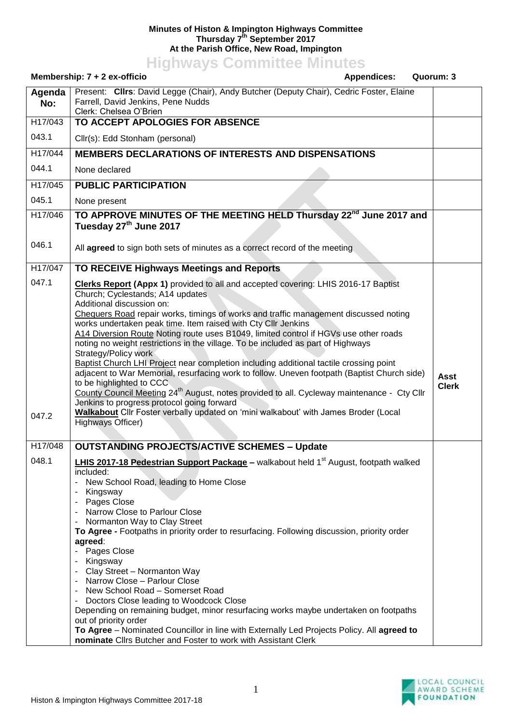## **Minutes of Histon & Impington Highways Committee Thursday 7th September 2017 At the Parish Office, New Road, Impington**

**Highways Committee Minutes**

| Membership: 7 + 2 ex-officio<br><b>Appendices:</b> |                                                                                                                                                                                                                                                                                                                                                                                                                                                                                                                                                                                                                                                                                                                                                                                                                                                                                                                                                                                       | Quorum: 3                   |
|----------------------------------------------------|---------------------------------------------------------------------------------------------------------------------------------------------------------------------------------------------------------------------------------------------------------------------------------------------------------------------------------------------------------------------------------------------------------------------------------------------------------------------------------------------------------------------------------------------------------------------------------------------------------------------------------------------------------------------------------------------------------------------------------------------------------------------------------------------------------------------------------------------------------------------------------------------------------------------------------------------------------------------------------------|-----------------------------|
| Agenda<br>No:                                      | Present: Clirs: David Legge (Chair), Andy Butcher (Deputy Chair), Cedric Foster, Elaine<br>Farrell, David Jenkins, Pene Nudds<br>Clerk: Chelsea O'Brien                                                                                                                                                                                                                                                                                                                                                                                                                                                                                                                                                                                                                                                                                                                                                                                                                               |                             |
| H17/043                                            | TO ACCEPT APOLOGIES FOR ABSENCE                                                                                                                                                                                                                                                                                                                                                                                                                                                                                                                                                                                                                                                                                                                                                                                                                                                                                                                                                       |                             |
| 043.1                                              | Cllr(s): Edd Stonham (personal)                                                                                                                                                                                                                                                                                                                                                                                                                                                                                                                                                                                                                                                                                                                                                                                                                                                                                                                                                       |                             |
| H17/044                                            | <b>MEMBERS DECLARATIONS OF INTERESTS AND DISPENSATIONS</b>                                                                                                                                                                                                                                                                                                                                                                                                                                                                                                                                                                                                                                                                                                                                                                                                                                                                                                                            |                             |
| 044.1                                              | None declared                                                                                                                                                                                                                                                                                                                                                                                                                                                                                                                                                                                                                                                                                                                                                                                                                                                                                                                                                                         |                             |
| H17/045                                            | <b>PUBLIC PARTICIPATION</b>                                                                                                                                                                                                                                                                                                                                                                                                                                                                                                                                                                                                                                                                                                                                                                                                                                                                                                                                                           |                             |
| 045.1                                              | None present                                                                                                                                                                                                                                                                                                                                                                                                                                                                                                                                                                                                                                                                                                                                                                                                                                                                                                                                                                          |                             |
| H17/046                                            | TO APPROVE MINUTES OF THE MEETING HELD Thursday 22 <sup>nd</sup> June 2017 and<br>Tuesday 27 <sup>th</sup> June 2017                                                                                                                                                                                                                                                                                                                                                                                                                                                                                                                                                                                                                                                                                                                                                                                                                                                                  |                             |
| 046.1                                              | All agreed to sign both sets of minutes as a correct record of the meeting                                                                                                                                                                                                                                                                                                                                                                                                                                                                                                                                                                                                                                                                                                                                                                                                                                                                                                            |                             |
| H17/047                                            | TO RECEIVE Highways Meetings and Reports                                                                                                                                                                                                                                                                                                                                                                                                                                                                                                                                                                                                                                                                                                                                                                                                                                                                                                                                              |                             |
| 047.1<br>047.2                                     | Clerks Report (Appx 1) provided to all and accepted covering: LHIS 2016-17 Baptist<br>Church; Cyclestands; A14 updates<br>Additional discussion on:<br>Chequers Road repair works, timings of works and traffic management discussed noting<br>works undertaken peak time. Item raised with Cty Cllr Jenkins<br>A14 Diversion Route Noting route uses B1049, limited control if HGVs use other roads<br>noting no weight restrictions in the village. To be included as part of Highways<br>Strategy/Policy work<br>Baptist Church LHI Project near completion including additional tactile crossing point<br>adjacent to War Memorial, resurfacing work to follow. Uneven footpath (Baptist Church side)<br>to be highlighted to CCC.<br>County Council Meeting 24 <sup>th</sup> August, notes provided to all. Cycleway maintenance - Cty Cllr<br>Jenkins to progress protocol going forward<br>Walkabout Cllr Foster verbally updated on 'mini walkabout' with James Broder (Local | <b>Asst</b><br><b>Clerk</b> |
|                                                    | Highways Officer)                                                                                                                                                                                                                                                                                                                                                                                                                                                                                                                                                                                                                                                                                                                                                                                                                                                                                                                                                                     |                             |
| H17/048                                            | <b>OUTSTANDING PROJECTS/ACTIVE SCHEMES - Update</b>                                                                                                                                                                                                                                                                                                                                                                                                                                                                                                                                                                                                                                                                                                                                                                                                                                                                                                                                   |                             |
| 048.1                                              | <b>LHIS 2017-18 Pedestrian Support Package –</b> walkabout held 1 <sup>st</sup> August, footpath walked<br>included:<br>New School Road, leading to Home Close<br>Kingsway<br>Pages Close<br>Narrow Close to Parlour Close<br>- Normanton Way to Clay Street<br>To Agree - Footpaths in priority order to resurfacing. Following discussion, priority order<br>agreed:<br>Pages Close<br>Kingsway<br>Clay Street - Normanton Way<br>Narrow Close - Parlour Close<br>New School Road - Somerset Road<br>Doctors Close leading to Woodcock Close<br>Depending on remaining budget, minor resurfacing works maybe undertaken on footpaths<br>out of priority order<br>To Agree - Nominated Councillor in line with Externally Led Projects Policy. All agreed to<br>nominate Cllrs Butcher and Foster to work with Assistant Clerk                                                                                                                                                       |                             |